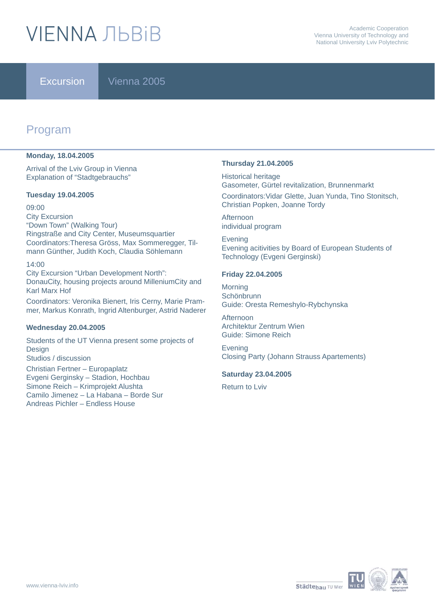# **VIFNNA JIBRIB**

Excursion Vienna 2005

## Program

#### **Monday, 18.04.2005**

Arrival of the Lviv Group in Vienna Explanation of "Stadtgebrauchs"

#### **Tuesday 19.04.2005**

09:00 City Excursion "Down Town" (Walking Tour) Ringstraße and City Center, Museumsquartier Coordinators:Theresa Gröss, Max Sommeregger, Tilmann Günther, Judith Koch, Claudia Söhlemann

#### 14:00

City Excursion "Urban Development North": DonauCity, housing projects around MilleniumCity and Karl Marx Hof

Coordinators: Veronika Bienert, Iris Cerny, Marie Prammer, Markus Konrath, Ingrid Altenburger, Astrid Naderer

#### **Wednesday 20.04.2005**

Students of the UT Vienna present some projects of Design Studios / discussion Christian Fertner – Europaplatz Evgeni Gerginsky – Stadion, Hochbau Simone Reich – Krimprojekt Alushta Camilo Jimenez – La Habana – Borde Sur Andreas Pichler – Endless House

#### **Thursday 21.04.2005**

Historical heritage Gasometer, Gürtel revitalization, Brunnenmarkt Coordinators:Vidar Glette, Juan Yunda, Tino Stonitsch, Christian Popken, Joanne Tordy

Afternoon individual program

Evening Evening acitivities by Board of European Students of Technology (Evgeni Gerginski)

#### **Friday 22.04.2005**

**Morning Schönbrunn** Guide: Oresta Remeshylo-Rybchynska

Afternoon Architektur Zentrum Wien Guide: Simone Reich

Evening Closing Party (Johann Strauss Apartements)

#### **Saturday 23.04.2005**

Return to Lviv